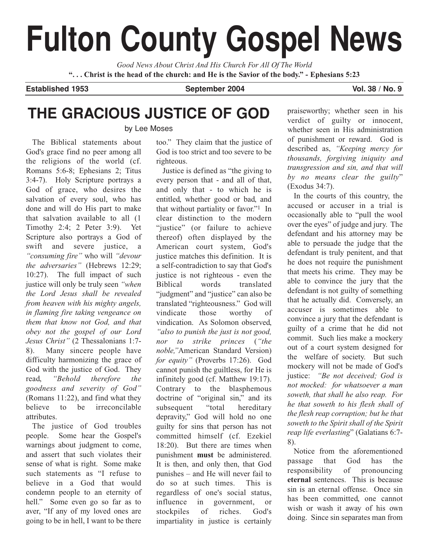# **Fulton County Gospel News**

*Good News About Christ And His Church For All Of The World* **". . . Christ is the head of the church: and He is the Savior of the body." - Ephesians 5:23**

**Established 1953 September 2004 Vol. 38 / No. 9**

# **THE GRACIOUS JUSTICE OF GOD** by Lee Moses

The Biblical statements about God's grace find no peer among all the religions of the world (cf. Romans 5:6-8; Ephesians 2; Titus 3:4-7). Holy Scripture portrays a God of grace, who desires the salvation of every soul, who has done and will do His part to make that salvation available to all (1 Timothy 2:4; 2 Peter 3:9). Yet Scripture also portrays a God of swift and severe justice, a *"consuming fire"* who will *"devour the adversaries"* (Hebrews 12:29; 10:27). The full impact of such justice will only be truly seen *"when the Lord Jesus shall be revealed from heaven with his mighty angels, in flaming fire taking vengeance on them that know not God, and that obey not the gospel of our Lord Jesus Christ"* (2 Thessalonians 1:7- 8). Many sincere people have difficulty harmonizing the grace of God with the justice of God. They read, *"Behold therefore the goodness and severity of God"* (Romans 11:22), and find what they believe to be irreconcilable attributes.

The justice of God troubles people. Some hear the Gospel's warnings about judgment to come, and assert that such violates their sense of what is right. Some make such statements as "I refuse to believe in a God that would condemn people to an eternity of hell." Some even go so far as to aver, "If any of my loved ones are going to be in hell, I want to be there

## too." They claim that the justice of God is too strict and too severe to be righteous.

Justice is defined as "the giving to every person that - and all of that, and only that - to which he is entitled, whether good or bad, and that without partiality or favor."1 In clear distinction to the modern "justice" (or failure to achieve thereof) often displayed by the American court system, God's justice matches this definition. It is a self-contradiction to say that God's justice is not righteous - even the Biblical words translated "judgment" and "justice" can also be translated "righteousness." God will vindicate those worthy of vindication. As Solomon observed, *"also to punish the just is not good, nor to strike princes* (*"the noble,"*American Standard Version) *for equity"* (Proverbs 17:26). God cannot punish the guiltless, for He is infinitely good (cf. Matthew 19:17). Contrary to the blasphemous doctrine of "original sin," and its subsequent "total hereditary depravity," God will hold no one guilty for sins that person has not committed himself (cf. Ezekiel 18:20). But there are times when punishment **must** be administered. It is then, and only then, that God punishes – and He will never fail to do so at such times. This is regardless of one's social status, influence in government, or stockpiles of riches. God's impartiality in justice is certainly

praiseworthy; whether seen in his verdict of guilty or innocent, whether seen in His administration of punishment or reward. God is described as, *"Keeping mercy for thousands, forgiving iniquity and transgression and sin, and that will by no means clear the guilty*" (Exodus 34:7).

In the courts of this country, the accused or accuser in a trial is occasionally able to "pull the wool over the eyes" of judge and jury. The defendant and his attorney may be able to persuade the judge that the defendant is truly penitent, and that he does not require the punishment that meets his crime. They may be able to convince the jury that the defendant is not guilty of something that he actually did. Conversely, an accuser is sometimes able to convince a jury that the defendant is guilty of a crime that he did not commit. Such lies make a mockery out of a court system designed for the welfare of society. But such mockery will not be made of God's justice: *"Be not deceived; God is not mocked: for whatsoever a man soweth, that shall he also reap. For he that soweth to his flesh shall of the flesh reap corruption; but he that soweth to the Spirit shall of the Spirit reap life everlasting*" (Galatians 6:7- 8).

Notice from the aforementioned passage that God has the responsibility of pronouncing **eternal** sentences. This is because sin is an eternal offense. Once sin has been committed, one cannot wish or wash it away of his own doing. Since sin separates man from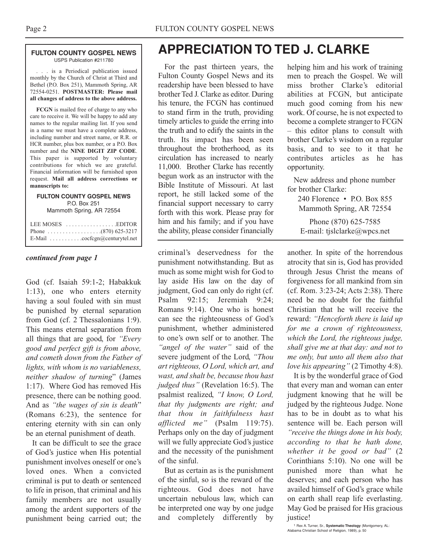#### **FULTON COUNTY GOSPEL NEWS** USPS Publication #211780

. . . is a Periodical publication issued monthly by the Church of Christ at Third and Bethel (P.O. Box 251), Mammoth Spring, AR 72554-0251. **POSTMASTER: Please mail all changes of address to the above address.**

**FCGN** is mailed free of charge to any who care to receive it. We will be happy to add any names to the regular mailing list. If you send in a name we must have a complete address, including number and street name, or R.R. or HCR number, plus box number, or a P.O. Box number and the **NINE DIGIT ZIP CODE**. This paper is supported by voluntary contributions for which we are grateful. Financial information will be furnished upon request. **Mail all address corrections or manuscripts to:**

#### **FULTON COUNTY GOSPEL NEWS** P.O. Box 251 Mammoth Spring, AR 72554

| LEE MOSES $\dots \dots \dots \dots \dots$ . EDITOR          |
|-------------------------------------------------------------|
|                                                             |
| E-Mail $\ldots \ldots \ldots \ldots$ cocfcgn@centurytel.net |

### *continued from page 1*

God (cf. Isaiah 59:1-2; Habakkuk 1:13), one who enters eternity having a soul fouled with sin must be punished by eternal separation from God (cf. 2 Thessalonians 1:9). This means eternal separation from all things that are good, for *"Every good and perfect gift is from above, and cometh down from the Father of lights, with whom is no variableness, neither shadow of turning*" (James 1:17). Where God has removed His presence, there can be nothing good. And as *"the wages of sin is death*" (Romans 6:23), the sentence for entering eternity with sin can only be an eternal punishment of death.

It can be difficult to see the grace of God's justice when His potential punishment involves oneself or one's loved ones. When a convicted criminal is put to death or sentenced to life in prison, that criminal and his family members are not usually among the ardent supporters of the punishment being carried out; the

# **APPRECIATION TO TED J. CLARKE**

For the past thirteen years, the Fulton County Gospel News and its readership have been blessed to have brother Ted J. Clarke as editor. During his tenure, the FCGN has continued to stand firm in the truth, providing timely articles to guide the erring into the truth and to edify the saints in the truth. Its impact has been seen throughout the brotherhood, as its circulation has increased to nearly 11,000. Brother Clarke has recently begun work as an instructor with the Bible Institute of Missouri. At last report, he still lacked some of the financial support necessary to carry forth with this work. Please pray for him and his family; and if you have the ability, please consider financially

criminal's deservedness for the punishment notwithstanding. But as much as some might wish for God to lay aside His law on the day of judgment, God can only do right (cf. Psalm 92:15; Jeremiah 9:24; Romans 9:14). One who is honest can see the righteousness of God's punishment, whether administered to one's own self or to another. The *"angel of the water"* said of the severe judgment of the Lord, *"Thou art righteous, O Lord, which art, and wast, and shalt be, because thou hast judged thus"* (Revelation 16:5). The psalmist realized, *"I know, O Lord, that thy judgments are right; and that thou in faithfulness hast afflicted me"* (Psalm 119:75). Perhaps only on the day of judgment will we fully appreciate God's justice and the necessity of the punishment of the sinful.

But as certain as is the punishment of the sinful, so is the reward of the righteous. God does not have uncertain nebulous law, which can be interpreted one way by one judge and completely differently by

helping him and his work of training men to preach the Gospel. We will miss brother Clarke's editorial abilities at FCGN, but anticipate much good coming from his new work. Of course, he is not expected to become a complete stranger to FCGN – this editor plans to consult with brother Clarke's wisdom on a regular basis, and to see to it that he contributes articles as he has opportunity.

New address and phone number for brother Clarke:

240 Florence • PO Box 855 Mammoth Spring, AR 72554

Phone (870) 625-7585 E-mail: tjslclarke@wpcs.net

another. In spite of the horrendous atrocity that sin is, God has provided through Jesus Christ the means of forgiveness for all mankind from sin (cf. Rom. 3:23-24; Acts 2:38). There need be no doubt for the faithful Christian that he will receive the reward: *"Henceforth there is laid up for me a crown of righteousness, which the Lord, the righteous judge, shall give me at that day: and not to me only, but unto all them also that love his appearing"* (2 Timothy 4:8).

It is by the wonderful grace of God that every man and woman can enter judgment knowing that he will be judged by the righteous Judge. None has to be in doubt as to what his sentence will be. Each person will *"receive the things done in his body, according to that he hath done, whether it be good or bad"* (2 Corinthians 5:10). No one will be punished more than what he deserves; and each person who has availed himself of God's grace while on earth shall reap life everlasting. May God be praised for His gracious justice!

1 Rex A. Turner, Sr., **Systematic Theology** (Montgomery, AL: Alabama Christian School of Religion, 1989), p. 50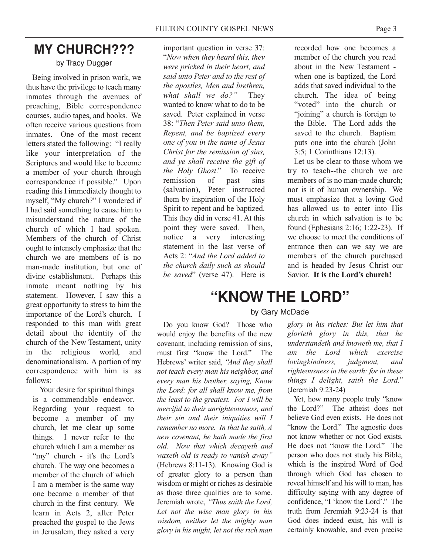# **MY CHURCH???**

### by Tracy Dugger

Being involved in prison work, we thus have the privilege to teach many inmates through the avenues of preaching, Bible correspondence courses, audio tapes, and books. We often receive various questions from inmates. One of the most recent letters stated the following: "I really like your interpretation of the Scriptures and would like to become a member of your church through correspondence if possible." Upon reading this I immediately thought to myself, "My church?" I wondered if I had said something to cause him to misunderstand the nature of the church of which I had spoken. Members of the church of Christ ought to intensely emphasize that the church we are members of is no man-made institution, but one of divine establishment. Perhaps this inmate meant nothing by his statement. However, I saw this a great opportunity to stress to him the importance of the Lord's church. I responded to this man with great detail about the identity of the church of the New Testament, unity in the religious world, and denominationalism. A portion of my correspondence with him is as follows:

Your desire for spiritual things is a commendable endeavor. Regarding your request to become a member of my church, let me clear up some things. I never refer to the church which I am a member as "my" church - it's the Lord's church. The way one becomes a member of the church of which I am a member is the same way one became a member of that church in the first century. We learn in Acts 2, after Peter preached the gospel to the Jews in Jerusalem, they asked a very

important question in verse 37: "*Now when they heard this, they were pricked in their heart, and said unto Peter and to the rest of the apostles, Men and brethren, what shall we do?"* They wanted to know what to do to be saved. Peter explained in verse 38: "*Then Peter said unto them, Repent, and be baptized every one of you in the name of Jesus Christ for the remission of sins, and ye shall receive the gift of the Holy Ghost*." To receive remission of past sins (salvation), Peter instructed them by inspiration of the Holy Spirit to repent and be baptized. This they did in verse 41. At this point they were saved. Then, notice a very interesting statement in the last verse of Acts 2: "*And the Lord added to the church daily such as should be saved*" (verse 47). Here is

recorded how one becomes a member of the church you read about in the New Testament when one is baptized, the Lord adds that saved individual to the church. The idea of being "voted" into the church or "joining" a church is foreign to the Bible. The Lord adds the saved to the church. Baptism puts one into the church (John 3:5; 1 Corinthians 12:13).

Let us be clear to those whom we try to teach--the church we are members of is no man-made church; nor is it of human ownership. We must emphasize that a loving God has allowed us to enter into His church in which salvation is to be found (Ephesians 2:16; 1:22-23). If we choose to meet the conditions of entrance then can we say we are members of the church purchased and is headed by Jesus Christ our Savior. **It is the Lord's church!**

# **"KNOW THE LORD"**

### by Gary McDade

Do you know God? Those who would enjoy the benefits of the new covenant, including remission of sins, must first "know the Lord." The Hebrews' writer said, *"And they shall not teach every man his neighbor, and every man his brother, saying, Know the Lord: for all shall know me, from the least to the greatest. For I will be merciful to their unrighteousness, and their sin and their iniquities will I remember no more. In that he saith, A new covenant, he hath made the first old. Now that which decayeth and waxeth old is ready to vanish away"* (Hebrews 8:11-13). Knowing God is of greater glory to a person than wisdom or might or riches as desirable as those three qualities are to some. Jeremiah wrote, *"Thus saith the Lord, Let not the wise man glory in his wisdom, neither let the mighty man glory in his might, let not the rich man*

*glory in his riches: But let him that glorieth glory in this, that he understandeth and knoweth me, that I am the Lord which exercise lovingkindness, judgment, and righteousness in the earth: for in these things I delight, saith the Lord."* (Jeremiah 9:23-24)

Yet, how many people truly "know the Lord?" The atheist does not believe God even exists. He does not "know the Lord." The agnostic does not know whether or not God exists. He does not "know the Lord." The person who does not study his Bible, which is the inspired Word of God through which God has chosen to reveal himself and his will to man, has difficulty saying with any degree of confidence, "I 'know the Lord'." The truth from Jeremiah 9:23-24 is that God does indeed exist, his will is certainly knowable, and even precise